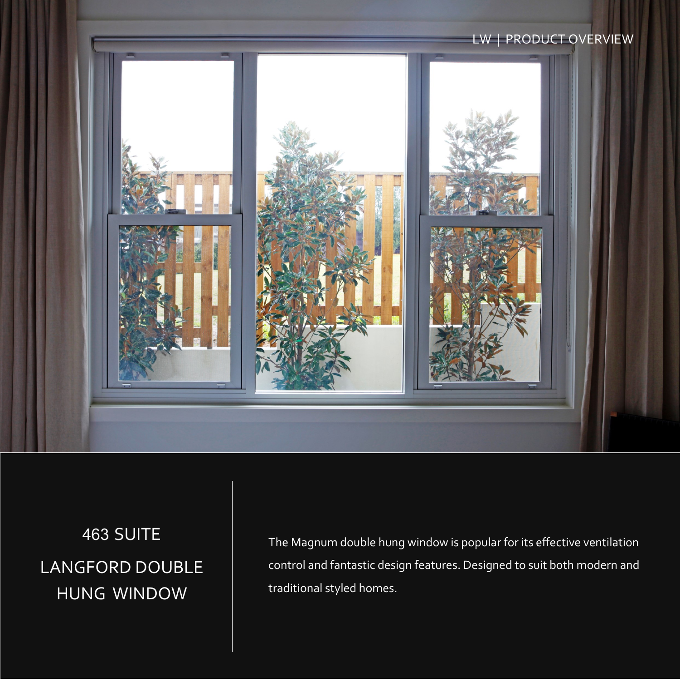

463 SUITE LANGFORD DOUBLE HUNG WINDOW

The Magnum double hung window is popular for its effective ventilation control and fantastic design features. Designed to suit both modern and traditional styled homes.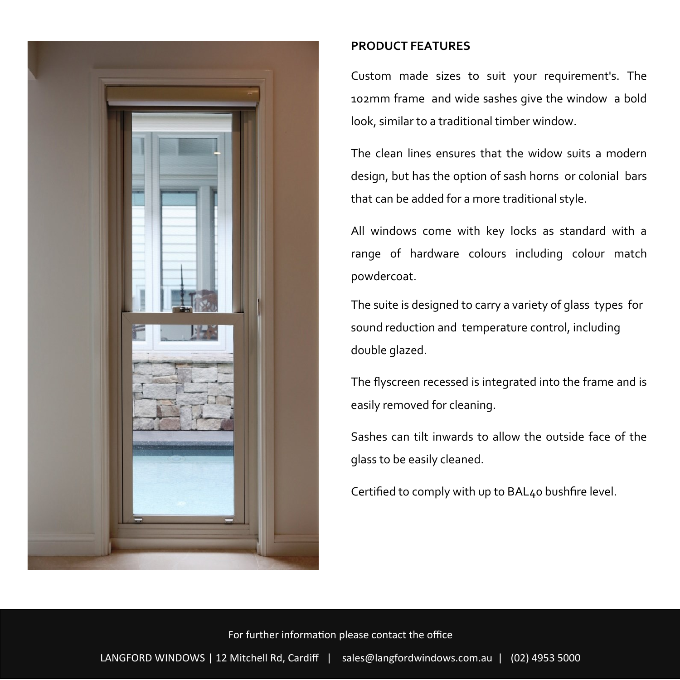

## **PRODUCT FEATURES**

Custom made sizes to suit your requirement's. The 102mm frame and wide sashes give the window a bold look, similar to a traditional timber window.

The clean lines ensures that the widow suits a modern design, but has the option of sash horns or colonial bars that can be added for a more traditional style.

All windows come with key locks as standard with a range of hardware colours including colour match powdercoat.

The suite is designed to carry a variety of glass types for sound reduction and temperature control, including double glazed.

The flyscreen recessed is integrated into the frame and is easily removed for cleaning.

Sashes can tilt inwards to allow the outside face of the glass to be easily cleaned.

Certified to comply with up to BAL40 bushfire level.

## For further information please contact the office